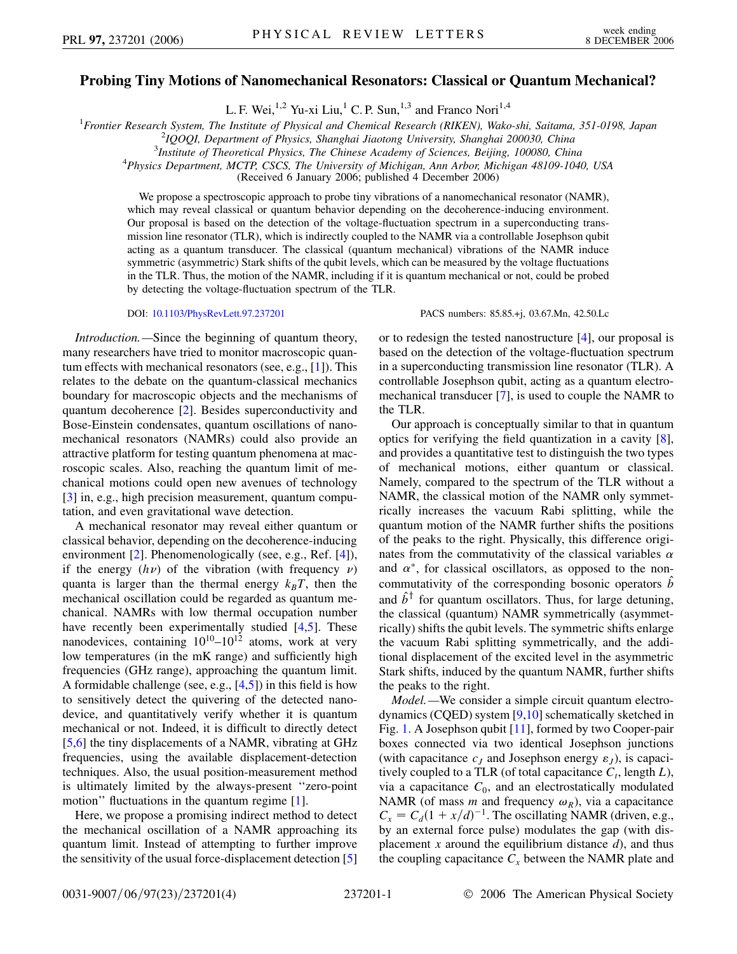## **Probing Tiny Motions of Nanomechanical Resonators: Classical or Quantum Mechanical?**

L. F. Wei,<sup>1,2</sup> Yu-xi Liu,<sup>1</sup> C. P. Sun,<sup>1,3</sup> and Franco Nori<sup>1,4</sup>

<sup>1</sup> Frontier Research System, The Institute of Physical and Chemical Research (RIKEN), Wako-shi, Saitama, 351-0198, Japan<br><sup>2</sup>IOOOL Department of Physics, Shanghai Jiaotana University, Shanghai 200030, China

*IQOQI, Department of Physics, Shanghai Jiaotong University, Shanghai 200030, China* <sup>3</sup>

*Institute of Theoretical Physics, The Chinese Academy of Sciences, Beijing, 100080, China* <sup>4</sup>

*Physics Department, MCTP, CSCS, The University of Michigan, Ann Arbor, Michigan 48109-1040, USA*

(Received 6 January 2006; published 4 December 2006)

We propose a spectroscopic approach to probe tiny vibrations of a nanomechanical resonator (NAMR), which may reveal classical or quantum behavior depending on the decoherence-inducing environment. Our proposal is based on the detection of the voltage-fluctuation spectrum in a superconducting transmission line resonator (TLR), which is indirectly coupled to the NAMR via a controllable Josephson qubit acting as a quantum transducer. The classical (quantum mechanical) vibrations of the NAMR induce symmetric (asymmetric) Stark shifts of the qubit levels, which can be measured by the voltage fluctuations in the TLR. Thus, the motion of the NAMR, including if it is quantum mechanical or not, could be probed by detecting the voltage-fluctuation spectrum of the TLR.

DOI: [10.1103/PhysRevLett.97.237201](http://dx.doi.org/10.1103/PhysRevLett.97.237201) PACS numbers: 85.85.+j, 03.67.Mn, 42.50.Lc

*Introduction.—*Since the beginning of quantum theory, many researchers have tried to monitor macroscopic quantum effects with mechanical resonators (see, e.g., [\[1\]](#page-3-0)). This relates to the debate on the quantum-classical mechanics boundary for macroscopic objects and the mechanisms of quantum decoherence [\[2](#page-3-1)]. Besides superconductivity and Bose-Einstein condensates, quantum oscillations of nanomechanical resonators (NAMRs) could also provide an attractive platform for testing quantum phenomena at macroscopic scales. Also, reaching the quantum limit of mechanical motions could open new avenues of technology [\[3\]](#page-3-2) in, e.g., high precision measurement, quantum computation, and even gravitational wave detection.

A mechanical resonator may reveal either quantum or classical behavior, depending on the decoherence-inducing environment [\[2](#page-3-1)]. Phenomenologically (see, e.g., Ref. [\[4](#page-3-3)]), if the energy  $(h\nu)$  of the vibration (with frequency  $\nu$ ) quanta is larger than the thermal energy  $k_B T$ , then the mechanical oscillation could be regarded as quantum mechanical. NAMRs with low thermal occupation number have recently been experimentally studied [[4,](#page-3-3)[5\]](#page-3-4). These nanodevices, containing  $10^{10} - 10^{12}$  atoms, work at very low temperatures (in the mK range) and sufficiently high frequencies (GHz range), approaching the quantum limit. A formidable challenge (see, e.g., [\[4,](#page-3-3)[5\]](#page-3-4)) in this field is how to sensitively detect the quivering of the detected nanodevice, and quantitatively verify whether it is quantum mechanical or not. Indeed, it is difficult to directly detect [\[5,](#page-3-4)[6](#page-3-5)] the tiny displacements of a NAMR, vibrating at GHz frequencies, using the available displacement-detection techniques. Also, the usual position-measurement method is ultimately limited by the always-present ''zero-point motion" fluctuations in the quantum regime [\[1](#page-3-0)].

Here, we propose a promising indirect method to detect the mechanical oscillation of a NAMR approaching its quantum limit. Instead of attempting to further improve the sensitivity of the usual force-displacement detection [\[5\]](#page-3-4) or to redesign the tested nanostructure [[4](#page-3-3)], our proposal is based on the detection of the voltage-fluctuation spectrum in a superconducting transmission line resonator (TLR). A controllable Josephson qubit, acting as a quantum electromechanical transducer [\[7\]](#page-3-6), is used to couple the NAMR to the TLR.

Our approach is conceptually similar to that in quantum optics for verifying the field quantization in a cavity [[8\]](#page-3-7), and provides a quantitative test to distinguish the two types of mechanical motions, either quantum or classical. Namely, compared to the spectrum of the TLR without a NAMR, the classical motion of the NAMR only symmetrically increases the vacuum Rabi splitting, while the quantum motion of the NAMR further shifts the positions of the peaks to the right. Physically, this difference originates from the commutativity of the classical variables  $\alpha$ and  $\alpha^*$ , for classical oscillators, as opposed to the noncommutativity of the corresponding bosonic operators  $\hat{b}$ and  $\hat{b}^{\dagger}$  for quantum oscillators. Thus, for large detuning, the classical (quantum) NAMR symmetrically (asymmetrically) shifts the qubit levels. The symmetric shifts enlarge the vacuum Rabi splitting symmetrically, and the additional displacement of the excited level in the asymmetric Stark shifts, induced by the quantum NAMR, further shifts the peaks to the right.

*Model.—*We consider a simple circuit quantum electrodynamics (CQED) system [\[9,](#page-3-8)[10\]](#page-3-9) schematically sketched in Fig. [1](#page-1-0). A Josephson qubit [[11](#page-3-10)], formed by two Cooper-pair boxes connected via two identical Josephson junctions (with capacitance  $c_J$  and Josephson energy  $\varepsilon_J$ ), is capacitively coupled to a TLR (of total capacitance  $C_t$ , length  $L$ ), via a capacitance  $C_0$ , and an electrostatically modulated NAMR (of mass *m* and frequency  $\omega_R$ ), via a capacitance  $C_x = C_d(1 + x/d)^{-1}$ . The oscillating NAMR (driven, e.g., by an external force pulse) modulates the gap (with displacement  $x$  around the equilibrium distance  $d$ , and thus the coupling capacitance  $C_x$  between the NAMR plate and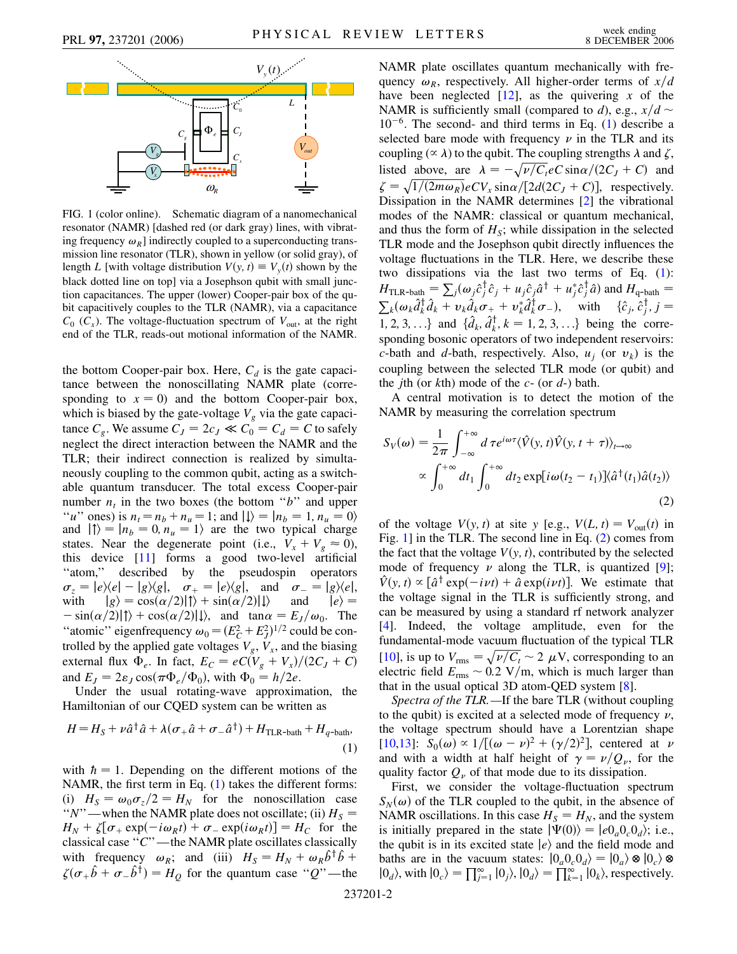<span id="page-1-0"></span>

FIG. 1 (color online). Schematic diagram of a nanomechanical resonator (NAMR) [dashed red (or dark gray) lines, with vibrating frequency  $\omega_R$ ] indirectly coupled to a superconducting transmission line resonator (TLR), shown in yellow (or solid gray), of length *L* [with voltage distribution  $V(y, t) \equiv V_y(t)$  shown by the black dotted line on top] via a Josephson qubit with small junction capacitances. The upper (lower) Cooper-pair box of the qubit capacitively couples to the TLR (NAMR), via a capacitance  $C_0$  ( $C_x$ ). The voltage-fluctuation spectrum of  $V_{\text{out}}$ , at the right end of the TLR, reads-out motional information of the NAMR.

the bottom Cooper-pair box. Here,  $C_d$  is the gate capacitance between the nonoscillating NAMR plate (corresponding to  $x = 0$ ) and the bottom Cooper-pair box, which is biased by the gate-voltage  $V_g$  via the gate capacitance  $C_g$ . We assume  $C_J = 2c_J \ll C_0 = C_d = C$  to safely neglect the direct interaction between the NAMR and the TLR; their indirect connection is realized by simultaneously coupling to the common qubit, acting as a switchable quantum transducer. The total excess Cooper-pair number  $n_t$  in the two boxes (the bottom " $b$ " and upper "*u*" ones) is  $n_t = n_b + n_u = 1$ ; and  $| \downarrow \rangle = | n_b = 1, n_u = 0 \rangle$ and  $| \uparrow \rangle = | n_b = 0, n_u = 1 \rangle$  are the two typical charge states. Near the degenerate point (i.e.,  $V_x + V_g \approx 0$ ), this device [\[11\]](#page-3-10) forms a good two-level artificial ''atom,'' described by the pseudospin operators  $\sigma_z = |e\rangle\langle e| - |g\rangle\langle g|, \quad \sigma_+ = |e\rangle\langle g|, \quad \text{and} \quad \sigma_- = |g\rangle\langle e|,$ with  $|g\rangle = \cos(\alpha/2)|\uparrow\rangle + \sin(\alpha/2)|\downarrow\rangle$  and  $|e\rangle =$  $-\sin(\alpha/2)|\uparrow\rangle + \cos(\alpha/2)|\downarrow\rangle$ , and  $\tan\alpha = E_J/\omega_0$ . The "atomic" eigenfrequency  $\omega_0 = (E_C^2 + E_J^2)^{1/2}$  could be controlled by the applied gate voltages  $V_g$ ,  $V_x$ , and the biasing external flux  $\Phi_e$ . In fact,  $E_C = eC(V_g + V_x)/(2C_J + C)$ and  $E_J = 2\varepsilon_J \cos(\pi \Phi_e/\Phi_0)$ , with  $\Phi_0 = h/2e$ .

Under the usual rotating-wave approximation, the Hamiltonian of our CQED system can be written as

<span id="page-1-1"></span>
$$
H = H_S + \nu \hat{a}^\dagger \hat{a} + \lambda (\sigma_+ \hat{a} + \sigma_- \hat{a}^\dagger) + H_{\text{TLR-bath}} + H_{q-\text{bath}}.
$$
<sup>(1)</sup>

with  $\hbar = 1$ . Depending on the different motions of the NAMR, the first term in Eq. [\(1\)](#page-1-1) takes the different forms: (i)  $H_S = \omega_0 \sigma_z/2 = H_N$  for the nonoscillation case " $N$ "—when the NAMR plate does not oscillate; (ii)  $H_S =$  $H_N + \zeta[\sigma_+ \exp(-i\omega_R t) + \sigma_- \exp(i\omega_R t)] = H_C$  for the classical case ''*C*''—the NAMR plate oscillates classically with frequency  $\omega_R$ ; and (iii)  $H_S = H_N + \omega_R \hat{b}^\dagger \hat{b} +$  $\zeta(\sigma_+ \hat{b} + \sigma_- \hat{b}^{\dagger}) = H_Q$  for the quantum case "*Q*"—the

NAMR plate oscillates quantum mechanically with frequency  $\omega_R$ , respectively. All higher-order terms of  $x/d$ have been neglected  $[12]$ , as the quivering x of the NAMR is sufficiently small (compared to *d*), e.g.,  $x/d \sim$  $10^{-6}$ . The second- and third terms in Eq. ([1\)](#page-1-1) describe a selected bare mode with frequency  $\nu$  in the TLR and its coupling ( $\propto \lambda$ ) to the qubit. The coupling strengths  $\lambda$  and  $\zeta$ , listed above, are  $\lambda = -\sqrt{\nu/C_t}e^{-\frac{c}{2}E}$  sin $\alpha/(2C_f + C)$  and  $\zeta = \sqrt{1/(2m\omega_R)}eCV_x \sin\alpha/[2d(2C_J + C)]$ , respectively. Dissipation in the NAMR determines [[2](#page-3-1)] the vibrational modes of the NAMR: classical or quantum mechanical, and thus the form of  $H<sub>S</sub>$ ; while dissipation in the selected TLR mode and the Josephson qubit directly influences the voltage fluctuations in the TLR. Here, we describe these two dissipations via the last two terms of Eq. [\(1\)](#page-1-1):  $H_{\text{TLR-bath}} = \sum_j (\omega_j \hat{c}_j^{\dagger} \hat{c}_j + u_j \hat{c}_j \hat{a}^{\dagger} + u_j^* \hat{c}_j^{\dagger} \hat{a})$  and  $H_{\text{q-bath}} =$  $\sum_k (\omega_k \hat{d}_k^\dagger \hat{d}_k + \nu_k \hat{d}_k \sigma_+ + \nu_k^* \hat{d}_k^\dagger \sigma_-), \quad \text{with} \quad \{\hat{c}_j, \hat{c}_j^\dagger, j = 1\}$ 1*,* 2*,* 3*,* ...*}* and  $\{\hat{a}_k, \hat{a}_k^{\dagger}, k = 1, 2, 3, ...\}$  being the corresponding bosonic operators of two independent reservoirs: *c*-bath and *d*-bath, respectively. Also,  $u_i$  (or  $v_k$ ) is the coupling between the selected TLR mode (or qubit) and the *j*th (or *k*th) mode of the *c*- (or *d*-) bath.

A central motivation is to detect the motion of the NAMR by measuring the correlation spectrum

<span id="page-1-2"></span>
$$
S_V(\omega) = \frac{1}{2\pi} \int_{-\infty}^{+\infty} d\,\tau e^{i\omega\tau} \langle \hat{V}(y, t) \hat{V}(y, t + \tau) \rangle_{t \to \infty}
$$

$$
\propto \int_0^{+\infty} dt_1 \int_0^{+\infty} dt_2 \exp[i\omega(t_2 - t_1)] \langle \hat{a}^\dagger(t_1) \hat{a}(t_2) \rangle
$$
(2)

of the voltage  $V(y, t)$  at site *y* [e.g.,  $V(L, t) = V_{out}(t)$  in Fig. [1\]](#page-1-0) in the TLR. The second line in Eq. ([2\)](#page-1-2) comes from the fact that the voltage  $V(y, t)$ , contributed by the selected mode of frequency  $\nu$  along the TLR, is quantized [\[9\]](#page-3-8);  $\hat{V}(y, t) \propto [\hat{a}^\dagger \exp(-i\nu t) + \hat{a} \exp(i\nu t)].$  We estimate that the voltage signal in the TLR is sufficiently strong, and can be measured by using a standard rf network analyzer [\[4\]](#page-3-3). Indeed, the voltage amplitude, even for the fundamental-mode vacuum fluctuation of the typical TLR [\[10\]](#page-3-9), is up to  $V_{\text{rms}} = \sqrt{\nu/C_t} \sim 2 \mu V$ , corresponding to an electric field  $E_{\text{rms}} \sim 0.2 \text{ V/m}$ , which is much larger than that in the usual optical 3D atom-QED system [\[8](#page-3-7)].

*Spectra of the TLR.—*If the bare TLR (without coupling to the qubit) is excited at a selected mode of frequency  $\nu$ , the voltage spectrum should have a Lorentzian shape [\[10](#page-3-9)[,13\]](#page-3-12):  $S_0(\omega) \propto 1/[(\omega - \nu)^2 + (\gamma/2)^2]$ , centered at  $\nu$ and with a width at half height of  $\gamma = \nu/Q_\nu$ , for the quality factor  $Q_{\nu}$  of that mode due to its dissipation.

First, we consider the voltage-fluctuation spectrum  $S_N(\omega)$  of the TLR coupled to the qubit, in the absence of NAMR oscillations. In this case  $H_S = H_N$ , and the system is initially prepared in the state  $|\Psi(0)\rangle = |e_0a_0c_0_d\rangle$ ; i.e., the qubit is in its excited state  $|e\rangle$  and the field mode and baths are in the vacuum states:  $|0_a 0_c 0_d\rangle = |0_a\rangle \otimes |0_c\rangle \otimes$  $|0_d\rangle$ , with  $|0_c\rangle = \prod_{j=1}^{\infty} |0_j\rangle$ ,  $|0_d\rangle = \prod_{k=1}^{\infty} |0_k\rangle$ , respectively.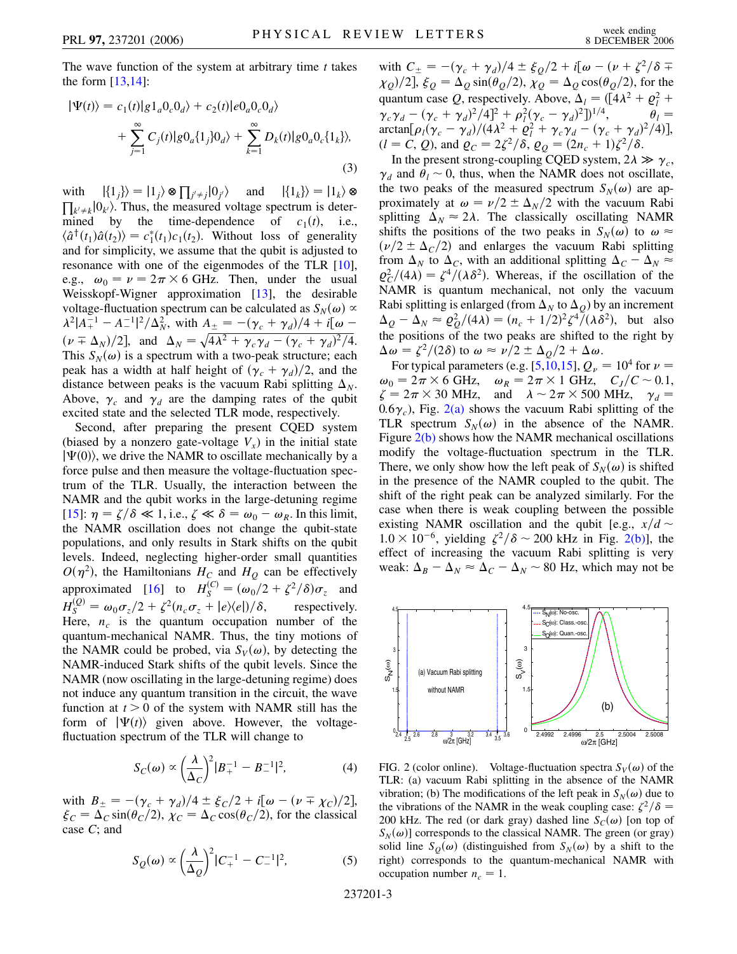The wave function of the system at arbitrary time *t* takes the form [[13](#page-3-12),[14](#page-3-13)]:

$$
|\Psi(t)\rangle = c_1(t)|g1_a0_c0_d\rangle + c_2(t)|e0_a0_c0_d\rangle
$$
  
+ 
$$
\sum_{j=1}^{\infty} C_j(t)|g0_a\{1_j\}0_d\rangle + \sum_{k=1}^{\infty} D_k(t)|g0_a0_c\{1_k\}\rangle,
$$
(3)

with  $|\{1_j\}\rangle = |1_j\rangle \otimes \prod_{j' \neq j} |0_{j'}\rangle$  and  $|\{1_k\}\rangle = |1_k\rangle \otimes$  $\prod_{k' \neq k}$   $\left|0_k\right\rangle$ . Thus, the measured voltage spectrum is determined by the time-dependence of  $c_1(t)$ , i.e.,  $\langle \hat{a}^{\dagger}(t_1)\hat{a}(t_2)\rangle = c_1^*(t_1)c_1(t_2)$ . Without loss of generality and for simplicity, we assume that the qubit is adjusted to resonance with one of the eigenmodes of the TLR [[10\]](#page-3-9), e.g.,  $\omega_0 = \nu = 2\pi \times 6$  GHz. Then, under the usual Weisskopf-Wigner approximation [\[13\]](#page-3-12), the desirable voltage-fluctuation spectrum can be calculated as  $S_N(\omega) \propto$  $\lambda^2 |A_+^{-1} - A_-^{-1}|^2 / \Delta_N^2$ , with  $A_{\pm} = -(\gamma_c + \gamma_d)/4 + i[\omega - \gamma_c]$  $(\nu \mp \Delta_N)/2$ , and  $\Delta_N = \sqrt{4\lambda^2 + \gamma_c \gamma_d - (\gamma_c + \gamma_d)^2/4}$ . This  $S_N(\omega)$  is a spectrum with a two-peak structure; each peak has a width at half height of  $(\gamma_c + \gamma_d)/2$ , and the distance between peaks is the vacuum Rabi splitting  $\Delta_N$ . Above,  $\gamma_c$  and  $\gamma_d$  are the damping rates of the qubit excited state and the selected TLR mode, respectively.

Second, after preparing the present CQED system (biased by a nonzero gate-voltage  $V<sub>x</sub>$ ) in the initial state  $|\Psi(0)\rangle$ , we drive the NAMR to oscillate mechanically by a force pulse and then measure the voltage-fluctuation spectrum of the TLR. Usually, the interaction between the NAMR and the qubit works in the large-detuning regime [\[15\]](#page-3-14):  $\eta = \zeta/\delta \ll 1$ , i.e.,  $\zeta \ll \delta = \omega_0 - \omega_R$ . In this limit, the NAMR oscillation does not change the qubit-state populations, and only results in Stark shifts on the qubit levels. Indeed, neglecting higher-order small quantities  $O(\eta^2)$ , the Hamiltonians  $H_C$  and  $H_Q$  can be effectively approximated [[16](#page-3-15)] to  $H_S^{(C)} = (\omega_0/2 + \zeta^2/\delta)\sigma_z$  and  $H_S^{(Q)} = \omega_0 \sigma_z/2 + \zeta^2 (n_c \sigma_z + |e\rangle\langle e|)/\delta$ , respectively. Here,  $n_c$  is the quantum occupation number of the quantum-mechanical NAMR. Thus, the tiny motions of the NAMR could be probed, via  $S_V(\omega)$ , by detecting the NAMR-induced Stark shifts of the qubit levels. Since the NAMR (now oscillating in the large-detuning regime) does not induce any quantum transition in the circuit, the wave function at  $t > 0$  of the system with NAMR still has the form of  $|\Psi(t)\rangle$  given above. However, the voltagefluctuation spectrum of the TLR will change to

$$
S_C(\omega) \propto \left(\frac{\lambda}{\Delta_C}\right)^2 |B_+^{-1} - B_-^{-1}|^2,\tag{4}
$$

with  $B_{\pm} = -(\gamma_c + \gamma_d)/4 \pm \xi_C/2 + i[\omega - (\nu \mp \chi_C)/2],$  $\xi_C = \Delta_C \sin(\theta_C/2), \chi_C = \Delta_C \cos(\theta_C/2)$ , for the classical case *C*; and

$$
S_Q(\omega) \propto \left(\frac{\lambda}{\Delta_Q}\right)^2 |C_+^{-1} - C_-^{-1}|^2,\tag{5}
$$

with  $C_{\pm} = -(\gamma_c + \gamma_d)/4 \pm \xi_Q/2 + i[\omega - (\nu + \zeta^2/\delta + \xi_z)/2]$  $\chi_{Q}/2$ ,  $\xi_{Q} = \Delta_{Q} \sin(\theta_{Q}/2), \chi_{Q} = \Delta_{Q} \cos(\theta_{Q}/2)$ , for the quantum case *Q*, respectively. Above,  $\Delta_l = (\frac{1}{4}\lambda^2 + \rho_l^2 + \rho_l^2)$  $\gamma_c \gamma_d - (\gamma_c + \gamma_d)^2 / 4^2 + \rho_l^2 (\gamma_c - \gamma_d)^2]^{1/4}, \qquad \theta_l =$  $\arctan[\rho_l(\gamma_c - \gamma_d)/(4\lambda^2 + \rho_l^2 + \gamma_c \gamma_d - (\gamma_c + \gamma_d)^2/4)],$  $(l = C, Q)$ , and  $\varrho_C = 2\zeta^2/\delta$ ,  $\varrho_Q = (2n_c + 1)\zeta^2/\delta$ .

In the present strong-coupling CQED system,  $2\lambda \gg \gamma_c$ ,  $\gamma_d$  and  $\theta_l \sim 0$ , thus, when the NAMR does not oscillate, the two peaks of the measured spectrum  $S_N(\omega)$  are approximately at  $\omega = \nu/2 \pm \Delta_N/2$  with the vacuum Rabi splitting  $\Delta_N \approx 2\lambda$ . The classically oscillating NAMR shifts the positions of the two peaks in  $S_N(\omega)$  to  $\omega \approx$  $(\nu/2 \pm \Delta_C/2)$  and enlarges the vacuum Rabi splitting from  $\Delta_N$  to  $\Delta_C$ , with an additional splitting  $\Delta_C - \Delta_N \approx$  $\varrho_C^2/(4\lambda) = \zeta^4/(\lambda \delta^2)$ . Whereas, if the oscillation of the NAMR is quantum mechanical, not only the vacuum Rabi splitting is enlarged (from  $\Delta_N$  to  $\Delta_O$ ) by an increment  $\Delta_{Q} - \Delta_{N} \approx \frac{\rho_{Q}^{2}}{4\lambda} = \frac{(n_{c} + 1/2)^{2} \zeta^{4}}{(\lambda \delta^{2})}$ , but also the positions of the two peaks are shifted to the right by  $\Delta \omega = \frac{\zeta^2}{2\delta}$  to  $\omega \approx \frac{\nu}{2} \pm \frac{\Delta_Q}{2} + \Delta \omega$ .

For typical parameters (e.g. [[5](#page-3-4),[10](#page-3-9),[15](#page-3-14)],  $Q_{\nu} = 10^4$  for  $\nu =$  $\omega_0 = 2\pi \times 6 \text{ GHz}, \quad \omega_R = 2\pi \times 1 \text{ GHz}, \quad C_J/C \sim 0.1,$  $\zeta = 2\pi \times 30$  MHz, and  $\lambda \sim 2\pi \times 500$  MHz,  $\gamma_d =$  $(0.6\gamma_c)$ , Fig.  $2(a)$  shows the vacuum Rabi splitting of the TLR spectrum  $S_N(\omega)$  in the absence of the NAMR. Figure  $2(b)$  shows how the NAMR mechanical oscillations modify the voltage-fluctuation spectrum in the TLR. There, we only show how the left peak of  $S_N(\omega)$  is shifted in the presence of the NAMR coupled to the qubit. The shift of the right peak can be analyzed similarly. For the case when there is weak coupling between the possible existing NAMR oscillation and the qubit [e.g.,  $x/d \sim$  $1.0 \times 10^{-6}$ , yielding  $\zeta^2/\delta \sim 200$  kHz in Fig. [2\(b\)](#page-2-0)], the effect of increasing the vacuum Rabi splitting is very weak:  $\Delta_B - \Delta_N \approx \Delta_C - \Delta_N \sim 80$  Hz, which may not be



<span id="page-2-0"></span>FIG. 2 (color online). Voltage-fluctuation spectra  $S_V(\omega)$  of the TLR: (a) vacuum Rabi splitting in the absence of the NAMR vibration; (b) The modifications of the left peak in  $S_N(\omega)$  due to the vibrations of the NAMR in the weak coupling case:  $\zeta^2/\delta$  = 200 kHz. The red (or dark gray) dashed line  $S_C(\omega)$  [on top of  $S_N(\omega)$  corresponds to the classical NAMR. The green (or gray) solid line  $S_O(\omega)$  (distinguished from  $S_N(\omega)$  by a shift to the right) corresponds to the quantum-mechanical NAMR with occupation number  $n_c = 1$ .